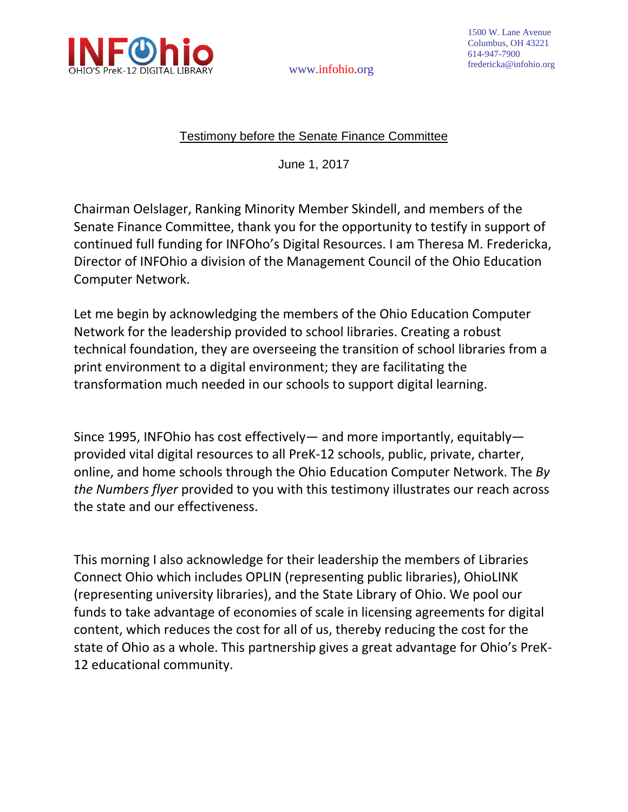

www.infohio.org

## Testimony before the Senate Finance Committee

June 1, 2017

Chairman Oelslager, Ranking Minority Member Skindell, and members of the Senate Finance Committee, thank you for the opportunity to testify in support of continued full funding for INFOho's Digital Resources. I am Theresa M. Fredericka, Director of INFOhio a division of the Management Council of the Ohio Education Computer Network.

Let me begin by acknowledging the members of the Ohio Education Computer Network for the leadership provided to school libraries. Creating a robust technical foundation, they are overseeing the transition of school libraries from a print environment to a digital environment; they are facilitating the transformation much needed in our schools to support digital learning.

Since 1995, INFOhio has cost effectively— and more importantly, equitably provided vital digital resources to all PreK-12 schools, public, private, charter, online, and home schools through the Ohio Education Computer Network. The *By the Numbers flyer* provided to you with this testimony illustrates our reach across the state and our effectiveness.

This morning I also acknowledge for their leadership the members of Libraries Connect Ohio which includes OPLIN (representing public libraries), OhioLINK (representing university libraries), and the State Library of Ohio. We pool our funds to take advantage of economies of scale in licensing agreements for digital content, which reduces the cost for all of us, thereby reducing the cost for the state of Ohio as a whole. This partnership gives a great advantage for Ohio's PreK-12 educational community.